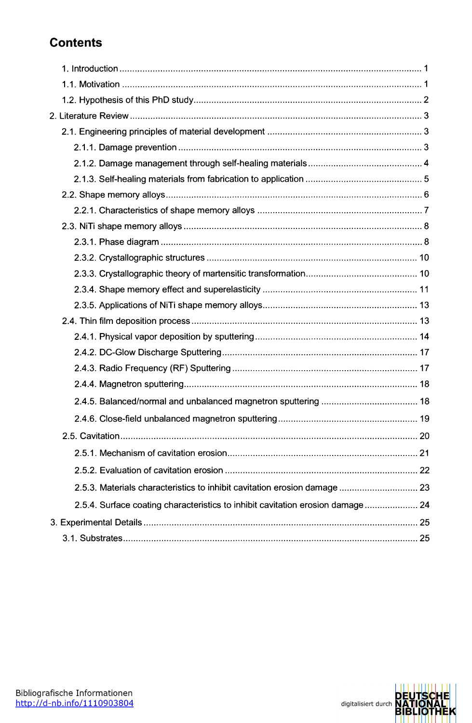## **Contents**

| 2.5.3. Materials characteristics to inhibit cavitation erosion damage  23      |  |
|--------------------------------------------------------------------------------|--|
| 2.5.4. Surface coating characteristics to inhibit cavitation erosion damage 24 |  |
|                                                                                |  |
|                                                                                |  |



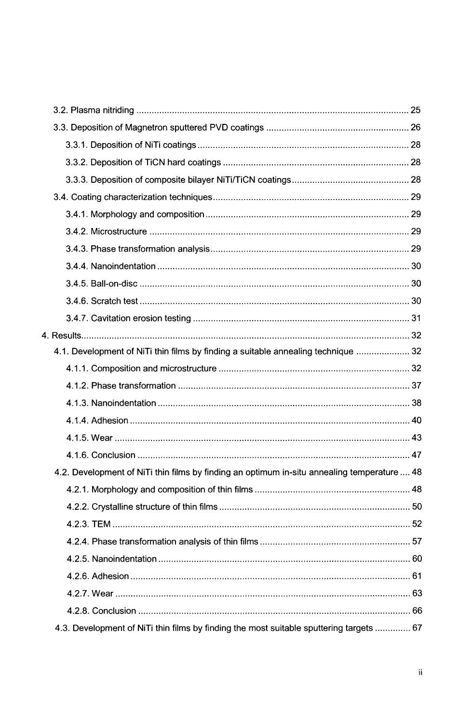| 4.1. Development of NiTi thin films by finding a suitable annealing technique  32           |  |
|---------------------------------------------------------------------------------------------|--|
|                                                                                             |  |
|                                                                                             |  |
|                                                                                             |  |
|                                                                                             |  |
|                                                                                             |  |
|                                                                                             |  |
| 4.2. Development of NiTi thin films by finding an optimum in-situ annealing temperature  48 |  |
|                                                                                             |  |
|                                                                                             |  |
|                                                                                             |  |
|                                                                                             |  |
|                                                                                             |  |
|                                                                                             |  |
|                                                                                             |  |
|                                                                                             |  |
| 4.3. Development of NiTi thin films by finding the most suitable sputtering targets  67     |  |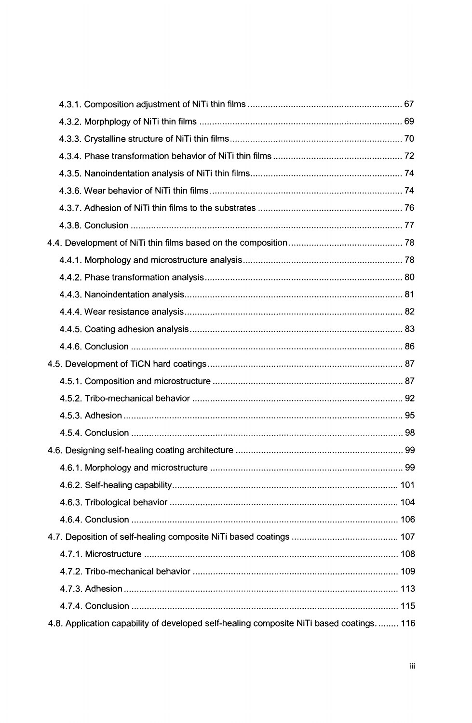| 4.8. Application capability of developed self-healing composite NiTi based coatings 116 |  |
|-----------------------------------------------------------------------------------------|--|